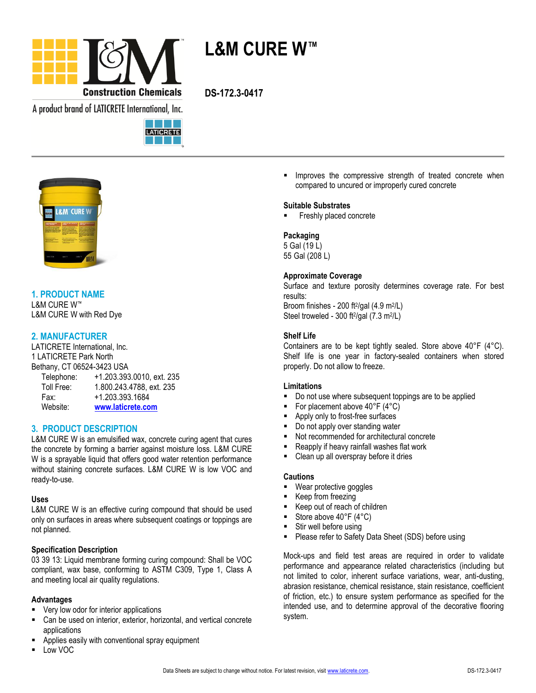

**L&M CURE W™**

A product brand of LATICRETE International, Inc.





# **1. PRODUCT NAME**

L&M CURE W™ L&M CURE W with Red Dye

# **2. MANUFACTURER**

LATICRETE International, Inc. 1 LATICRETE Park North Bethany, CT 06524-3423 USA

| Telephone: | +1.203.393.0010, ext. 235 |
|------------|---------------------------|
| Toll Free: | 1.800.243.4788, ext. 235  |
| Fax:       | +1.203.393.1684           |
| Website:   | www.laticrete.com         |

# **3. PRODUCT DESCRIPTION**

L&M CURE W is an emulsified wax, concrete curing agent that cures the concrete by forming a barrier against moisture loss. L&M CURE W is a sprayable liquid that offers good water retention performance without staining concrete surfaces. L&M CURE W is low VOC and ready-to-use.

### **Uses**

L&M CURE W is an effective curing compound that should be used only on surfaces in areas where subsequent coatings or toppings are not planned.

## **Specification Description**

03 39 13: Liquid membrane forming curing compound: Shall be VOC compliant, wax base, conforming to ASTM C309, Type 1, Class A and meeting local air quality regulations.

## **Advantages**

- Very low odor for interior applications
- Can be used on interior, exterior, horizontal, and vertical concrete applications
- Applies easily with conventional spray equipment
- Low VOC

**IMPROVER THE COMPRESSIVE Strength of treated concrete when** compared to uncured or improperly cured concrete

### **Suitable Substrates**

Freshly placed concrete

## **Packaging**

5 Gal (19 L) 55 Gal (208 L)

## **Approximate Coverage**

Surface and texture porosity determines coverage rate. For best results: Broom finishes - 200 ft<sup>2</sup>/gal (4.9 m<sup>2</sup>/L)

Steel troweled - 300 ft<sup>2</sup>/gal (7.3 m<sup>2</sup>/L)

## **Shelf Life**

Containers are to be kept tightly sealed. Store above 40°F (4°C). Shelf life is one year in factory-sealed containers when stored properly. Do not allow to freeze.

### **Limitations**

- Do not use where subsequent toppings are to be applied
- For placement above 40°F (4°C)
- Apply only to frost-free surfaces
- Do not apply over standing water
- Not recommended for architectural concrete
- Reapply if heavy rainfall washes flat work
- Clean up all overspray before it dries

### **Cautions**

- Wear protective goggles
- Keep from freezing
- Keep out of reach of children
- Store above 40°F (4°C)
- **Stir well before using**
- **Please refer to Safety Data Sheet (SDS) before using**

Mock-ups and field test areas are required in order to validate performance and appearance related characteristics (including but not limited to color, inherent surface variations, wear, anti-dusting, abrasion resistance, chemical resistance, stain resistance, coefficient of friction, etc.) to ensure system performance as specified for the intended use, and to determine approval of the decorative flooring system.